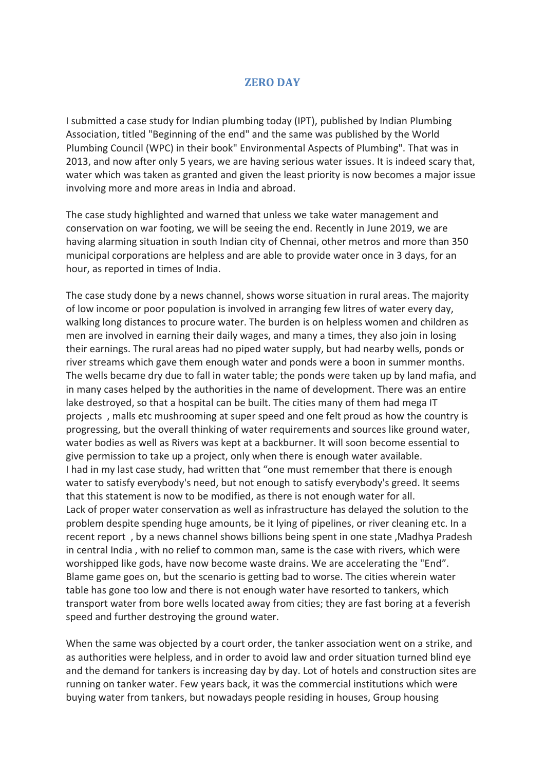## **ZERO DAY**

I submitted a case study for Indian plumbing today (IPT), published by Indian Plumbing Association, titled "Beginning of the end" and the same was published by the World Plumbing Council (WPC) in their book" Environmental Aspects of Plumbing". That was in 2013, and now after only 5 years, we are having serious water issues. It is indeed scary that, water which was taken as granted and given the least priority is now becomes a major issue involving more and more areas in India and abroad.

The case study highlighted and warned that unless we take water management and conservation on war footing, we will be seeing the end. Recently in June 2019, we are having alarming situation in south Indian city of Chennai, other metros and more than 350 municipal corporations are helpless and are able to provide water once in 3 days, for an hour, as reported in times of India.

The case study done by a news channel, shows worse situation in rural areas. The majority of low income or poor population is involved in arranging few litres of water every day, walking long distances to procure water. The burden is on helpless women and children as men are involved in earning their daily wages, and many a times, they also join in losing their earnings. The rural areas had no piped water supply, but had nearby wells, ponds or river streams which gave them enough water and ponds were a boon in summer months. The wells became dry due to fall in water table; the ponds were taken up by land mafia, and in many cases helped by the authorities in the name of development. There was an entire lake destroyed, so that a hospital can be built. The cities many of them had mega IT projects , malls etc mushrooming at super speed and one felt proud as how the country is progressing, but the overall thinking of water requirements and sources like ground water, water bodies as well as Rivers was kept at a backburner. It will soon become essential to give permission to take up a project, only when there is enough water available. I had in my last case study, had written that "one must remember that there is enough water to satisfy everybody's need, but not enough to satisfy everybody's greed. It seems that this statement is now to be modified, as there is not enough water for all. Lack of proper water conservation as well as infrastructure has delayed the solution to the problem despite spending huge amounts, be it lying of pipelines, or river cleaning etc. In a recent report , by a news channel shows billions being spent in one state ,Madhya Pradesh in central India , with no relief to common man, same is the case with rivers, which were worshipped like gods, have now become waste drains. We are accelerating the "End". Blame game goes on, but the scenario is getting bad to worse. The cities wherein water table has gone too low and there is not enough water have resorted to tankers, which transport water from bore wells located away from cities; they are fast boring at a feverish speed and further destroying the ground water.

When the same was objected by a court order, the tanker association went on a strike, and as authorities were helpless, and in order to avoid law and order situation turned blind eye and the demand for tankers is increasing day by day. Lot of hotels and construction sites are running on tanker water. Few years back, it was the commercial institutions which were buying water from tankers, but nowadays people residing in houses, Group housing